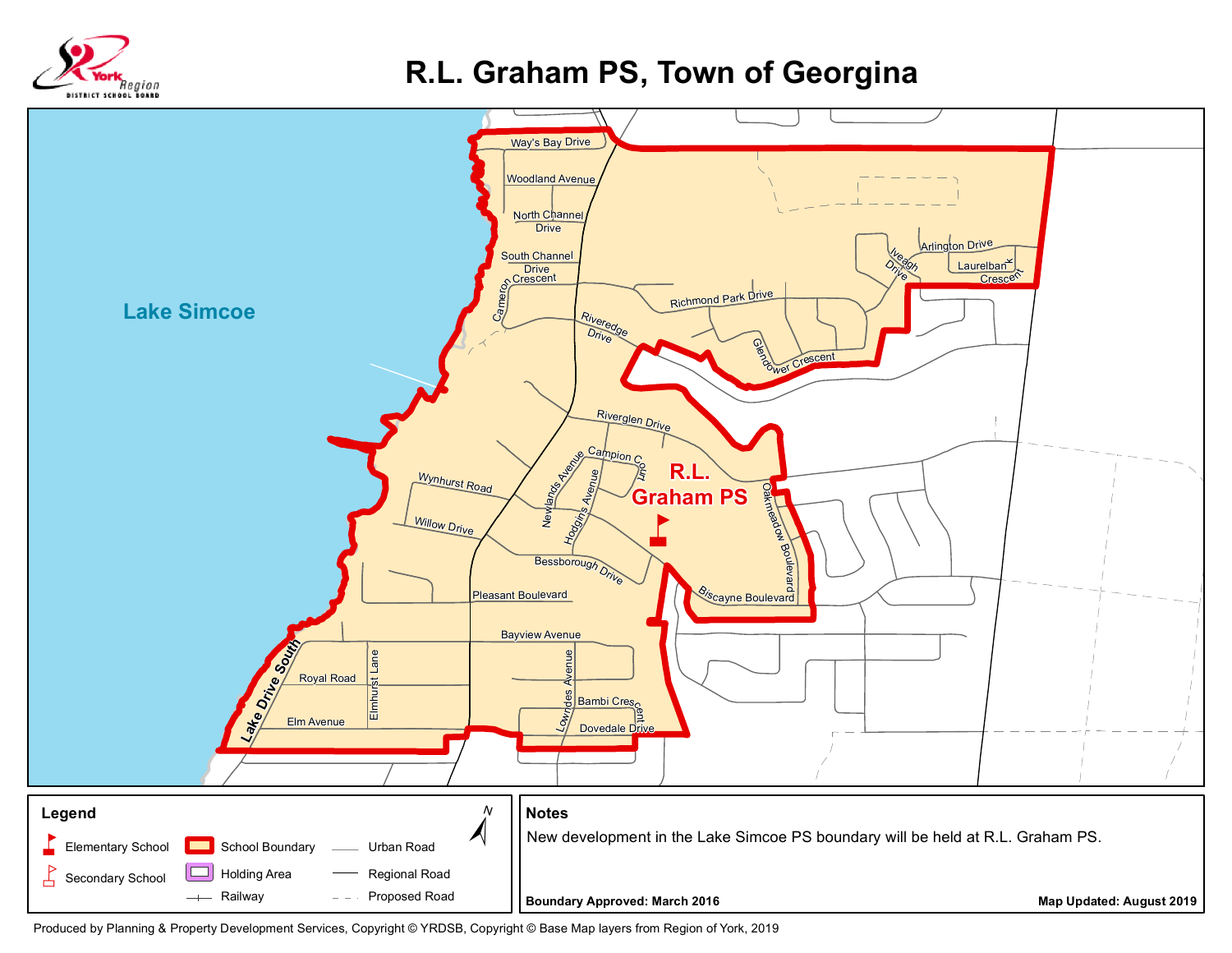

## **R.L. Graham PS, Town of Georgina**



Produced by Planning & Property Development Services, Copyright © YRDSB, Copyright © Base Map layers from Region of York, 2019